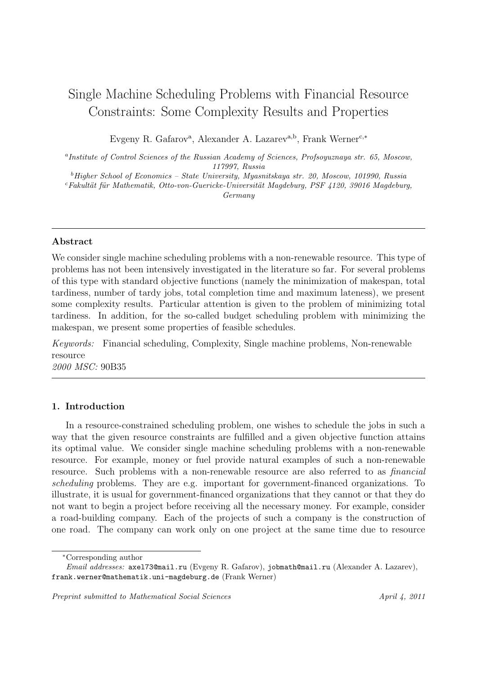# Single Machine Scheduling Problems with Financial Resource Constraints: Some Complexity Results and Properties

Evgeny R. Gafarov<sup>a</sup>, Alexander A. Lazarev<sup>a,b</sup>, Frank Werner<sup>c,∗</sup>

<sup>a</sup>Institute of Control Sciences of the Russian Academy of Sciences, Profsoyuznaya str. 65, Moscow, 117997, Russia

 $^{b}$  Higher School of Economics – State University, Myasnitskaya str. 20, Moscow, 101990, Russia

 $c$ Fakultät für Mathematik, Otto-von-Guericke-Universität Magdeburg, PSF 4120, 39016 Magdeburg, Germany

#### Abstract

We consider single machine scheduling problems with a non-renewable resource. This type of problems has not been intensively investigated in the literature so far. For several problems of this type with standard objective functions (namely the minimization of makespan, total tardiness, number of tardy jobs, total completion time and maximum lateness), we present some complexity results. Particular attention is given to the problem of minimizing total tardiness. In addition, for the so-called budget scheduling problem with minimizing the makespan, we present some properties of feasible schedules.

Keywords: Financial scheduling, Complexity, Single machine problems, Non-renewable resource

2000 MSC: 90B35

## 1. Introduction

In a resource-constrained scheduling problem, one wishes to schedule the jobs in such a way that the given resource constraints are fulfilled and a given objective function attains its optimal value. We consider single machine scheduling problems with a non-renewable resource. For example, money or fuel provide natural examples of such a non-renewable resource. Such problems with a non-renewable resource are also referred to as financial scheduling problems. They are e.g. important for government-financed organizations. To illustrate, it is usual for government-financed organizations that they cannot or that they do not want to begin a project before receiving all the necessary money. For example, consider a road-building company. Each of the projects of such a company is the construction of one road. The company can work only on one project at the same time due to resource

<sup>∗</sup>Corresponding author

Email addresses: axel73@mail.ru (Evgeny R. Gafarov), jobmath@mail.ru (Alexander A. Lazarev), frank.werner@mathematik.uni-magdeburg.de (Frank Werner)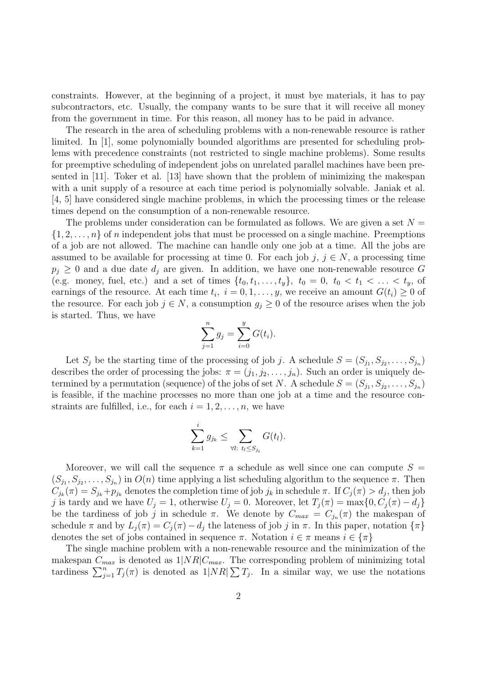constraints. However, at the beginning of a project, it must bye materials, it has to pay subcontractors, etc. Usually, the company wants to be sure that it will receive all money from the government in time. For this reason, all money has to be paid in advance.

The research in the area of scheduling problems with a non-renewable resource is rather limited. In [1], some polynomially bounded algorithms are presented for scheduling problems with precedence constraints (not restricted to single machine problems). Some results for preemptive scheduling of independent jobs on unrelated parallel machines have been presented in [11]. Toker et al. [13] have shown that the problem of minimizing the makespan with a unit supply of a resource at each time period is polynomially solvable. Janiak et al. [4, 5] have considered single machine problems, in which the processing times or the release times depend on the consumption of a non-renewable resource.

The problems under consideration can be formulated as follows. We are given a set  $N =$  $\{1, 2, \ldots, n\}$  of n independent jobs that must be processed on a single machine. Preemptions of a job are not allowed. The machine can handle only one job at a time. All the jobs are assumed to be available for processing at time 0. For each job j,  $j \in N$ , a processing time  $p_j \geq 0$  and a due date  $d_j$  are given. In addition, we have one non-renewable resource G (e.g. money, fuel, etc.) and a set of times  $\{t_0, t_1, \ldots, t_y\}$ ,  $t_0 = 0$ ,  $t_0 < t_1 < \ldots < t_y$ , of earnings of the resource. At each time  $t_i$ ,  $i = 0, 1, \ldots, y$ , we receive an amount  $G(t_i) \geq 0$  of the resource. For each job  $j \in N$ , a consumption  $g_j \geq 0$  of the resource arises when the job is started. Thus, we have

$$
\sum_{j=1}^{n} g_j = \sum_{i=0}^{y} G(t_i).
$$

Let  $S_j$  be the starting time of the processing of job j. A schedule  $S = (S_{j_1}, S_{j_2}, \ldots, S_{j_n})$ describes the order of processing the jobs:  $\pi = (j_1, j_2, \ldots, j_n)$ . Such an order is uniquely determined by a permutation (sequence) of the jobs of set N. A schedule  $S = (S_{j_1}, S_{j_2}, \ldots, S_{j_n})$ is feasible, if the machine processes no more than one job at a time and the resource constraints are fulfilled, i.e., for each  $i = 1, 2, \ldots, n$ , we have

$$
\sum_{k=1}^i g_{j_k} \leq \sum_{\forall l: \ t_l \leq S_{j_i}} G(t_l).
$$

Moreover, we will call the sequence  $\pi$  a schedule as well since one can compute  $S =$  $(S_{j_1}, S_{j_2}, \ldots, S_{j_n})$  in  $O(n)$  time applying a list scheduling algorithm to the sequence  $\pi$ . Then  $C_{j_k}(\pi) = S_{j_k} + p_{j_k}$  denotes the completion time of job  $j_k$  in schedule  $\pi$ . If  $C_j(\pi) > d_j$ , then job j is tardy and we have  $U_j = 1$ , otherwise  $U_j = 0$ . Moreover, let  $T_j(\pi) = \max\{0, C_j(\pi) - d_j\}$ be the tardiness of job j in schedule  $\pi$ . We denote by  $C_{max} = C_{j_n}(\pi)$  the makespan of schedule  $\pi$  and by  $L_j(\pi) = C_j(\pi) - d_j$  the lateness of job j in  $\pi$ . In this paper, notation  $\{\pi\}$ denotes the set of jobs contained in sequence  $\pi$ . Notation  $i \in \pi$  means  $i \in {\pi}$ 

The single machine problem with a non-renewable resource and the minimization of the makespan  $C_{max}$  is denoted as  $1|NR|C_{max}$ . The corresponding problem of minimizing total tardiness  $\sum_{j=1}^{n} T_j(\pi)$  is denoted as  $1|NR| \sum T_j$ . In a similar way, we use the notations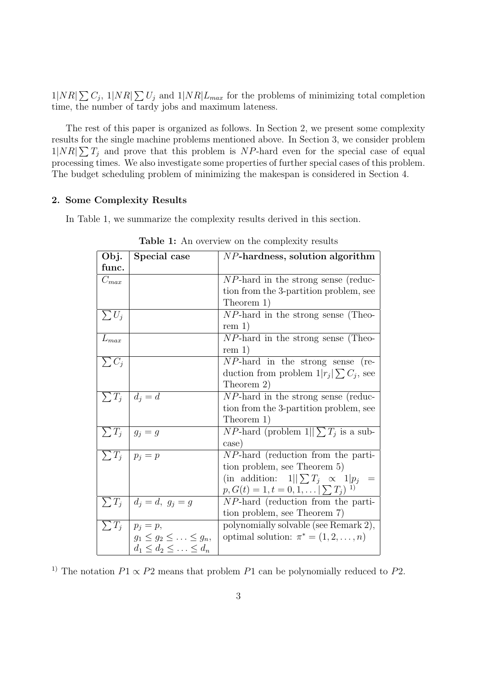$1|NR| \sum C_j$ ,  $1|NR| \sum U_j$  and  $1|NR|L_{max}$  for the problems of minimizing total completion time, the number of tardy jobs and maximum lateness.

The rest of this paper is organized as follows. In Section 2, we present some complexity results for the single machine problems mentioned above. In Section 3, we consider problem  $1|NR| \sum T_j$  and prove that this problem is NP-hard even for the special case of equal processing times. We also investigate some properties of further special cases of this problem. The budget scheduling problem of minimizing the makespan is considered in Section 4.

## 2. Some Complexity Results

In Table 1, we summarize the complexity results derived in this section.

| Obj.       | Special case                        | $NP$ -hardness, solution algorithm                  |
|------------|-------------------------------------|-----------------------------------------------------|
| func.      |                                     |                                                     |
| $C_{max}$  |                                     | <i>NP</i> -hard in the strong sense (reduc-         |
|            |                                     | tion from the 3-partition problem, see              |
|            |                                     | Theorem 1)                                          |
| $\sum U_j$ |                                     | $NP$ -hard in the strong sense (Theo-               |
|            |                                     | rem 1)                                              |
| $L_{max}$  |                                     | $NP$ -hard in the strong sense (Theo-               |
|            |                                     | rem 1)                                              |
| $\sum C_j$ |                                     | $NP$ -hard in the strong sense (re-                 |
|            |                                     | duction from problem $1 r_i \sum C_i$ , see         |
|            |                                     | Theorem 2)                                          |
| $\sum T_i$ | $d_i = d$                           | $NP$ -hard in the strong sense (reduc-              |
|            |                                     | tion from the 3-partition problem, see              |
|            |                                     | Theorem 1)                                          |
| $\sum T_j$ | $g_i = g$                           | <i>NP</i> -hard (problem $1  \sum T_i$ is a sub-    |
|            |                                     | case)                                               |
| $\sum T_j$ | $p_i = p$                           | <i>NP</i> -hard (reduction from the parti-          |
|            |                                     | tion problem, see Theorem 5)                        |
|            |                                     | (in addition: $1  \sum T_i \propto 1 p_i$ =         |
|            |                                     | $p, G(t) = 1, t = 0, 1, \ldots \mid \sum T_i$<br>1) |
| $\sum T_j$ | $d_i = d, g_j = g$                  | $NP$ -hard (reduction from the parti-               |
|            |                                     | tion problem, see Theorem 7)                        |
|            | $\sum T_j   p_j = p,$               | polynomially solvable (see Remark 2),               |
|            | $g_1 \leq g_2 \leq \ldots \leq g_n$ | optimal solution: $\pi^* = (1, 2, \ldots, n)$       |
|            | $d_1 \leq d_2 \leq \ldots \leq d_n$ |                                                     |

Table 1: An overview on the complexity results

<sup>1)</sup> The notation  $P1 \propto P2$  means that problem  $P1$  can be polynomially reduced to  $P2$ .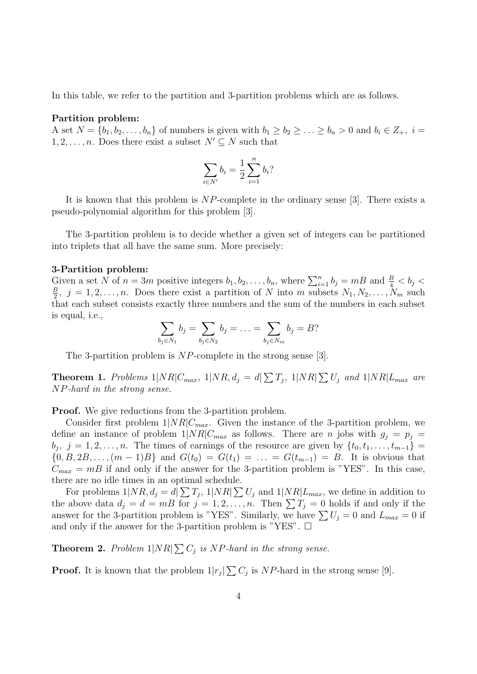In this table, we refer to the partition and 3-partition problems which are as follows.

#### Partition problem:

A set  $N = \{b_1, b_2, \ldots, b_n\}$  of numbers is given with  $b_1 \geq b_2 \geq \ldots \geq b_n > 0$  and  $b_i \in Z_+, i =$  $1, 2, \ldots, n$ . Does there exist a subset  $N' \subseteq N$  such that

$$
\sum_{i \in N'} b_i = \frac{1}{2} \sum_{i=1}^n b_i?
$$

It is known that this problem is NP-complete in the ordinary sense [3]. There exists a pseudo-polynomial algorithm for this problem [3].

The 3-partition problem is to decide whether a given set of integers can be partitioned into triplets that all have the same sum. More precisely:

#### 3-Partition problem:

Given a set N of  $n = 3m$  positive integers  $b_1, b_2, \ldots, b_n$ , where  $\sum_{i=1}^n b_i = mB$  and  $\frac{B}{4} < b_j <$ B  $\frac{B}{2}$ ,  $j = 1, 2, \ldots, n$ . Does there exist a partition of N into m subsets  $N_1, N_2, \ldots, N_m$  such that each subset consists exactly three numbers and the sum of the numbers in each subset is equal, i.e.,

$$
\sum_{b_j \in N_1} b_j = \sum_{b_j \in N_2} b_j = \ldots = \sum_{b_j \in N_m} b_j = B?
$$

The 3-partition problem is NP-complete in the strong sense [3].

**Theorem 1.** Problems  $1|NR|C_{max}$ ,  $1|NR$ ,  $d_j = d\sum T_j$ ,  $1|NR| \sum U_j$  and  $1|NR|L_{max}$  are NP-hard in the strong sense.

Proof. We give reductions from the 3-partition problem.

Consider first problem  $1|NR|C_{max}$ . Given the instance of the 3-partition problem, we define an instance of problem  $1|NR|C_{max}$  as follows. There are *n* jobs with  $g_i = p_i$  $b_j, j = 1, 2, \ldots, n$ . The times of earnings of the resource are given by  $\{t_0, t_1, \ldots, t_{m-1}\}$  $\{0, B, 2B, \ldots, (m-1)B\}$  and  $G(t_0) = G(t_1) = \ldots = G(t_{m-1}) = B$ . It is obvious that  $C_{max} = mB$  if and only if the answer for the 3-partition problem is "YES". In this case, there are no idle times in an optimal schedule.

For problems  $1|NR, d_j = d \sum T_j$ ,  $1|NR| \sum U_j$  and  $1|NR|L_{max}$ , we define in addition to the above data  $d_j = d = mB$  for  $j = 1, 2, ..., n$ . Then  $\sum T_j = 0$  holds if and only if the answer for the 3-partition problem is "YES". Similarly, we have  $\sum U_j = 0$  and  $L_{max} = 0$  if and only if the answer for the 3-partition problem is "YES".  $\Box$ 

**Theorem 2.** Problem  $1|NR| \sum C_j$  is NP-hard in the strong sense.

**Proof.** It is known that the problem  $1|r_j| \sum C_j$  is NP-hard in the strong sense [9].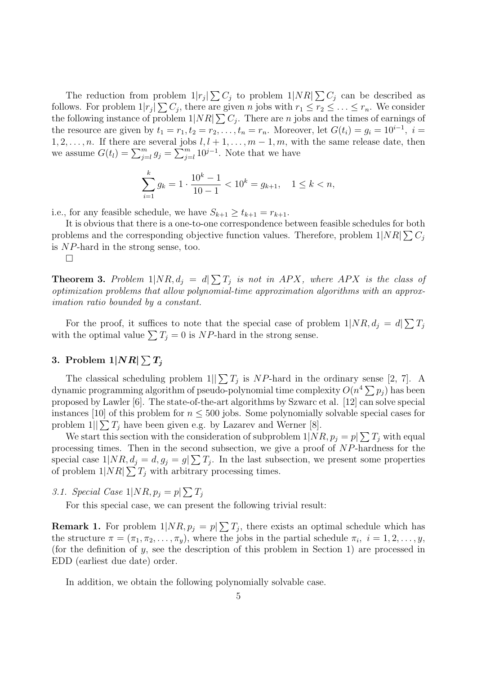The reduction from problem  $1|r_j| \sum C_j$  to problem  $1|NR| \sum C_j$  can be described as follows. For problem  $1|r_j|\sum C_j$ , there are given n jobs with  $r_1 \leq r_2 \leq \ldots \leq r_n$ . We consider the following instance of problem  $1|NR| \sum C_j$ . There are *n* jobs and the times of earnings of the resource are given by  $t_1 = r_1, t_2 = r_2, \ldots, t_n = r_n$ . Moreover, let  $G(t_i) = g_i = 10^{i-1}$ ,  $i =$  $1, 2, \ldots, n$ . If there are several jobs  $l, l + 1, \ldots, m - 1, m$ , with the same release date, then we assume  $G(t_l) = \sum_{j=l}^{m} g_j = \sum_{j=l}^{m} 10^{j-1}$ . Note that we have

$$
\sum_{i=1}^{k} g_k = 1 \cdot \frac{10^k - 1}{10 - 1} < 10^k = g_{k+1}, \quad 1 \le k < n,
$$

i.e., for any feasible schedule, we have  $S_{k+1} \geq t_{k+1} = r_{k+1}$ .

It is obvious that there is a one-to-one correspondence between feasible schedules for both problems and the corresponding objective function values. Therefore, problem  $1|NR| \sum C_j$ is NP-hard in the strong sense, too.

 $\Box$ 

**Theorem 3.** Problem  $1|NR, d_j = d\sum T_j$  is not in APX, where APX is the class of optimization problems that allow polynomial-time approximation algorithms with an approximation ratio bounded by a constant.

For the proof, it suffices to note that the special case of problem  $1|NR, d_j = d|\sum T_j$ with the optimal value  $\sum T_j = 0$  is NP-hard in the strong sense.

# 3. Problem  $1|NR|\sum T_j$

The classical scheduling problem  $1||\sum T_j$  is NP-hard in the ordinary sense [2, 7]. A dynamic programming algorithm of pseudo-polynomial time complexity  $O(n^4 \sum p_j)$  has been proposed by Lawler [6]. The state-of-the-art algorithms by Szwarc et al. [12] can solve special instances [10] of this problem for  $n \leq 500$  jobs. Some polynomially solvable special cases for problem  $1||\sum T_i$  have been given e.g. by Lazarev and Werner [8].

We start this section with the consideration of subproblem  $1|NR, p_j = p|\sum T_j$  with equal processing times. Then in the second subsection, we give a proof of NP-hardness for the special case  $1/NR$ ,  $d_j = d$ ,  $g_j = g(\sum T_j)$ . In the last subsection, we present some properties of problem  $1|NR| \sum T_j$  with arbitrary processing times.

3.1. Special Case  $1|NR, p_j = p \sum T_j$ 

For this special case, we can present the following trivial result:

**Remark 1.** For problem  $1/NR$ ,  $p_j = p_j\sum T_j$ , there exists an optimal schedule which has the structure  $\pi = (\pi_1, \pi_2, \dots, \pi_y)$ , where the jobs in the partial schedule  $\pi_i$ ,  $i = 1, 2, \dots, y$ , (for the definition of  $y$ , see the description of this problem in Section 1) are processed in EDD (earliest due date) order.

In addition, we obtain the following polynomially solvable case.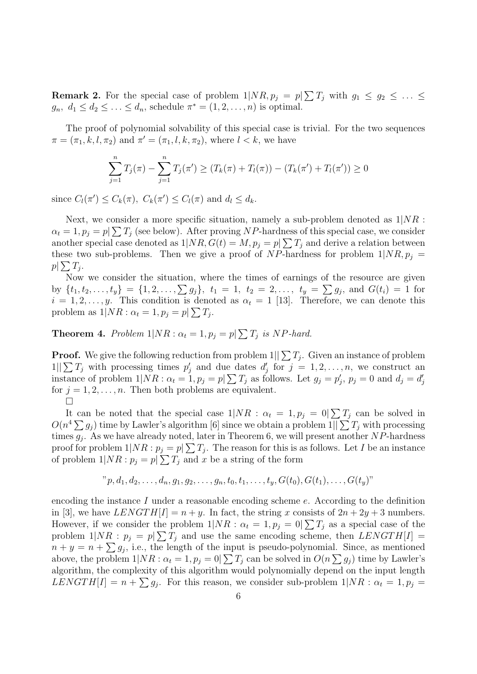**Remark 2.** For the special case of problem  $1|NR, p_j = p|\sum T_j$  with  $g_1 \le g_2 \le \ldots \le$  $g_n, d_1 \leq d_2 \leq \ldots \leq d_n$ , schedule  $\pi^* = (1, 2, \ldots, n)$  is optimal.

The proof of polynomial solvability of this special case is trivial. For the two sequences  $\pi = (\pi_1, k, l, \pi_2)$  and  $\pi' = (\pi_1, l, k, \pi_2)$ , where  $l < k$ , we have

$$
\sum_{j=1}^{n} T_j(\pi) - \sum_{j=1}^{n} T_j(\pi') \ge (T_k(\pi) + T_l(\pi)) - (T_k(\pi') + T_l(\pi')) \ge 0
$$

since  $C_l(\pi') \leq C_k(\pi)$ ,  $C_k(\pi') \leq C_l(\pi)$  and  $d_l \leq d_k$ .

Next, we consider a more specific situation, namely a sub-problem denoted as  $1/NR$ :  $\alpha_t = 1, p_j = p \sum T_j$  (see below). After proving NP-hardness of this special case, we consider another special case denoted as  $1/NR$ ,  $G(t) = M$ ,  $p_j = p\sum T_j$  and derive a relation between these two sub-problems. Then we give a proof of NP-hardness for problem  $1|NR, p_i =$  $p|\sum T_j$ .

Now we consider the situation, where the times of earnings of the resource are given by  $\{t_1, t_2, \ldots, t_y\} = \{1, 2, \ldots, \sum g_j\}, t_1 = 1, t_2 = 2, \ldots, t_y = \sum g_j$ , and  $G(t_i) = 1$  for  $i = 1, 2, \ldots, y$ . This condition is denoted as  $\alpha_t = 1$  [13]. Therefore, we can denote this problem as  $1|NR: \alpha_t = 1, p_j = p \sum T_j$ .

**Theorem 4.** Problem  $1|NR: \alpha_t = 1, p_j = p \sum T_j$  is NP-hard.

**Proof.** We give the following reduction from problem  $1||\sum T_j$ . Given an instance of problem  $1||\sum T_j$  with processing times  $p'_j$  and due dates  $d'_j$  for  $j = 1, 2, ..., n$ , we construct an instance of problem  $1|NR: \alpha_t = 1, p_j = p \geq T_j$  as follows. Let  $g_j = p'_j$ ,  $p_j = 0$  and  $d_j = d'_j$ for  $j = 1, 2, \ldots, n$ . Then both problems are equivalent.  $\Box$ 

It can be noted that the special case  $1/NR$ :  $\alpha_t = 1, p_j = 0 | \sum T_j$  can be solved in  $O(n^4 \sum g_j)$  time by Lawler's algorithm [6] since we obtain a problem  $1||\sum T_j$  with processing times  $g_j$ . As we have already noted, later in Theorem 6, we will present another NP-hardness proof for problem  $1|NR: p_j = p \geq T_j$ . The reason for this is as follows. Let I be an instance of problem  $1|NR: p_j = p \geq T_j$  and x be a string of the form

$$
"p, d_1, d_2, \ldots, d_n, g_1, g_2, \ldots, g_n, t_0, t_1, \ldots, t_y, G(t_0), G(t_1), \ldots, G(t_y)"
$$

encoding the instance I under a reasonable encoding scheme  $e$ . According to the definition in [3], we have  $LENGTH[I] = n + y$ . In fact, the string x consists of  $2n + 2y + 3$  numbers. However, if we consider the problem  $1/NR$ :  $\alpha_t = 1, p_j = 0 \sum T_j$  as a special case of the problem  $1|NR: p_j = p \geq T_j$  and use the same encoding scheme, then  $LENGTH[I] =$  $n + y = n + \sum g_j$ , i.e., the length of the input is pseudo-polynomial. Since, as mentioned above, the problem  $1|NR: \alpha_t = 1, p_j = 0 \geq T_j$  can be solved in  $O(n \sum g_j)$  time by Lawler's algorithm, the complexity of this algorithm would polynomially depend on the input length  $LENGTH[I] = n + \sum g_j$ . For this reason, we consider sub-problem  $1|NR : \alpha_t = 1, p_j =$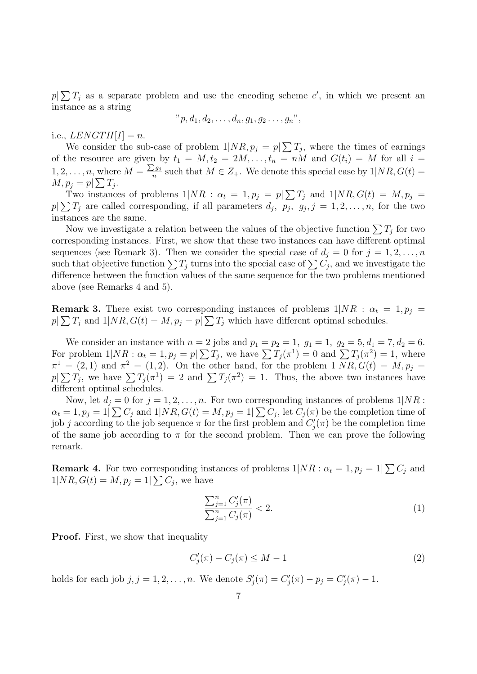$p|\sum T_j$  as a separate problem and use the encoding scheme e', in which we present an instance as a string

$$
"p, d_1, d_2, \ldots, d_n, g_1, g_2 \ldots, g_n"
$$

i.e.,  $LENGTH[I] = n$ .

We consider the sub-case of problem  $1/NR$ ,  $p_j = p/\sum T_j$ , where the times of earnings of the resource are given by  $t_1 = M$ ,  $t_2 = 2M, \ldots, t_n = nM$  and  $G(t_i) = M$  for all  $i =$  $1, 2, \ldots, n$ , where  $M = \frac{\sum g_j}{n}$  $\frac{1}{n}$  such that  $M \in Z_+$ . We denote this special case by  $1/NR$ ,  $G(t) =$  $M, p_j = p \mid \sum T_j.$ 

Two instances of problems  $1/NR$ :  $\alpha_t = 1, p_j = p/\sum T_j$  and  $1/NR$ ,  $G(t) = M, p_j =$  $p|\sum T_j$  are called corresponding, if all parameters  $d_j$ ,  $p_j$ ,  $g_j$ ,  $j = 1, 2, \ldots, n$ , for the two instances are the same.

Now we investigate a relation between the values of the objective function  $\sum T_j$  for two corresponding instances. First, we show that these two instances can have different optimal sequences (see Remark 3). Then we consider the special case of  $d_i = 0$  for  $j = 1, 2, \ldots, n$ such that objective function  $\sum T_j$  turns into the special case of  $\sum C_j$ , and we investigate the difference between the function values of the same sequence for the two problems mentioned above (see Remarks 4 and 5).

**Remark 3.** There exist two corresponding instances of problems  $1/NR$ :  $\alpha_t = 1, p_j =$  $p|\sum T_j$  and  $1|NR, G(t) = M, p_j = p|\sum T_j$  which have different optimal schedules.

We consider an instance with  $n = 2$  jobs and  $p_1 = p_2 = 1$ ,  $g_1 = 1$ ,  $g_2 = 5$ ,  $d_1 = 7$ ,  $d_2 = 6$ . For problem  $1|NR: \alpha_t = 1, p_j = p \sum T_j$ , we have  $\sum T_j(\pi^1) = 0$  and  $\sum T_j(\pi^2) = 1$ , where  $\pi^1 = (2, 1)$  and  $\pi^2 = (1, 2)$ . On the other hand, for the problem  $1/NR$ ,  $G(t) = M$ ,  $p_j =$  $p|\sum T_j$ , we have  $\sum T_j(\pi^1) = 2$  and  $\sum T_j(\pi^2) = 1$ . Thus, the above two instances have different optimal schedules.

Now, let  $d_i = 0$  for  $j = 1, 2, ..., n$ . For two corresponding instances of problems  $1/NR$ :  $\alpha_t = 1, p_j = 1 \mid \sum C_j$  and  $1 \mid NR, G(t) = M, p_j = 1 \mid \sum C_j$ , let  $C_j(\pi)$  be the completion time of job j according to the job sequence  $\pi$  for the first problem and  $C'_{j}(\pi)$  be the completion time of the same job according to  $\pi$  for the second problem. Then we can prove the following remark.

**Remark 4.** For two corresponding instances of problems  $1|NR: \alpha_t = 1, p_j = 1|\sum C_j$  and  $1|NR, G(t) = M, p_j = 1|\sum C_j$ , we have

$$
\frac{\sum_{j=1}^{n} C'_j(\pi)}{\sum_{j=1}^{n} C_j(\pi)} < 2.
$$
\n(1)

**Proof.** First, we show that inequality

$$
C_j'(\pi) - C_j(\pi) \le M - 1\tag{2}
$$

holds for each job  $j, j = 1, 2, ..., n$ . We denote  $S'_{j}(\pi) = C'_{j}(\pi) - p_{j} = C'_{j}(\pi) - 1$ .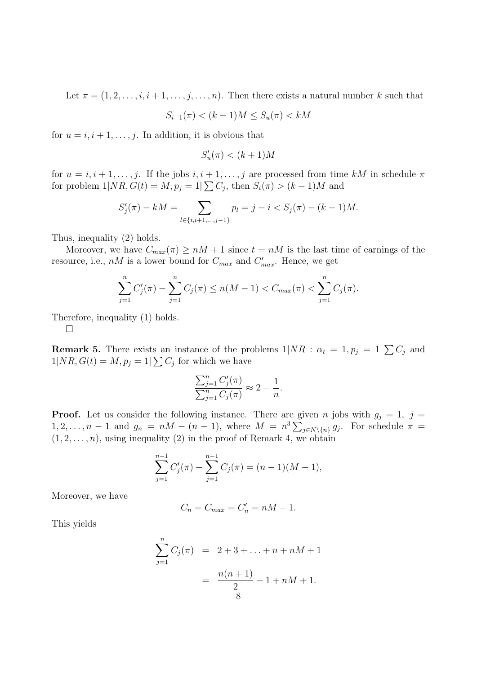Let  $\pi = (1, 2, \ldots, i, i + 1, \ldots, j, \ldots, n)$ . Then there exists a natural number k such that

$$
S_{i-1}(\pi) < (k-1)M \le S_u(\pi) < kM
$$

for  $u = i, i + 1, \ldots, j$ . In addition, it is obvious that

$$
S'_u(\pi) < (k+1)M
$$

for  $u = i, i + 1, \ldots, j$ . If the jobs  $i, i + 1, \ldots, j$  are processed from time kM in schedule  $\pi$ for problem  $1/NR$ ,  $G(t) = M$ ,  $p_j = 1/\sum C_j$ , then  $S_i(\pi) > (k-1)M$  and

$$
S'_{j}(\pi) - kM = \sum_{l \in \{i, i+1, \dots, j-1\}} p_{l} = j - i < S_{j}(\pi) - (k-1)M.
$$

Thus, inequality (2) holds.

Moreover, we have  $C_{max}(\pi) \geq nM + 1$  since  $t = nM$  is the last time of earnings of the resource, i.e.,  $nM$  is a lower bound for  $C_{max}$  and  $C'_{max}$ . Hence, we get

$$
\sum_{j=1}^{n} C'_j(\pi) - \sum_{j=1}^{n} C_j(\pi) \le n(M-1) < C_{\max}(\pi) < \sum_{j=1}^{n} C_j(\pi).
$$

Therefore, inequality (1) holds.

 $\Box$ 

**Remark 5.** There exists an instance of the problems  $1/NR$ :  $\alpha_t = 1, p_j = 1/\sum C_j$  and  $1|NR, G(t) = M, p_j = 1|\sum C_j$  for which we have

$$
\frac{\sum_{j=1}^{n} C'_j(\pi)}{\sum_{j=1}^{n} C_j(\pi)} \approx 2 - \frac{1}{n}.
$$

**Proof.** Let us consider the following instance. There are given n jobs with  $g_i = 1$ ,  $j =$  $1, 2, \ldots, n-1$  and  $g_n = nM - (n-1)$ , where  $M = n^3 \sum_{j \in N \setminus \{n\}} g_j$ . For schedule  $\pi =$  $(1, 2, \ldots, n)$ , using inequality (2) in the proof of Remark 4, we obtain

$$
\sum_{j=1}^{n-1} C'_j(\pi) - \sum_{j=1}^{n-1} C_j(\pi) = (n-1)(M-1),
$$

Moreover, we have

$$
C_n = C_{max} = C'_n = nM + 1.
$$

This yields

$$
\sum_{j=1}^{n} C_j(\pi) = 2 + 3 + \dots + n + nM + 1
$$

$$
= \frac{n(n+1)}{2} - 1 + nM + 1.
$$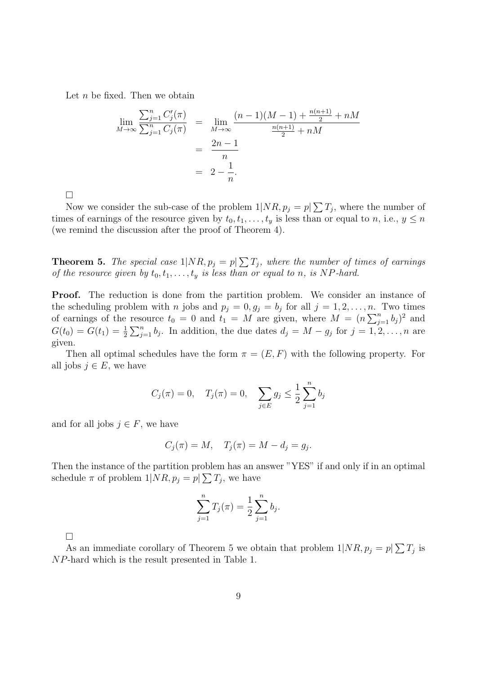Let  $n$  be fixed. Then we obtain

$$
\lim_{M \to \infty} \frac{\sum_{j=1}^{n} C'_j(\pi)}{\sum_{j=1}^{n} C_j(\pi)} = \lim_{M \to \infty} \frac{(n-1)(M-1) + \frac{n(n+1)}{2} + nM}{\frac{n(n+1)}{2} + nM}
$$

$$
= \frac{2n-1}{n}
$$

$$
= 2 - \frac{1}{n}.
$$

 $\Box$ 

Now we consider the sub-case of the problem  $1/NR$ ,  $p_j = p/\sum T_j$ , where the number of times of earnings of the resource given by  $t_0, t_1, \ldots, t_y$  is less than or equal to n, i.e.,  $y \le n$ (we remind the discussion after the proof of Theorem 4).

**Theorem 5.** The special case  $1|NR, p_j = p| \sum T_j$ , where the number of times of earnings of the resource given by  $t_0, t_1, \ldots, t_y$  is less than or equal to n, is NP-hard.

Proof. The reduction is done from the partition problem. We consider an instance of the scheduling problem with *n* jobs and  $p_j = 0, g_j = b_j$  for all  $j = 1, 2, ..., n$ . Two times of earnings of the resource  $t_0 = 0$  and  $t_1 = M$  are given, where  $M = (n \sum_{j=1}^n b_j)^2$  and  $G(t_0) = G(t_1) = \frac{1}{2} \sum_{j=1}^n b_j$ . In addition, the due dates  $d_j = M - g_j$  for  $j = 1, 2, ..., n$  are given.

Then all optimal schedules have the form  $\pi = (E, F)$  with the following property. For all jobs  $j \in E$ , we have

$$
C_j(\pi) = 0
$$
,  $T_j(\pi) = 0$ ,  $\sum_{j \in E} g_j \le \frac{1}{2} \sum_{j=1}^n b_j$ 

and for all jobs  $j \in F$ , we have

$$
C_j(\pi) = M, \quad T_j(\pi) = M - d_j = g_j.
$$

Then the instance of the partition problem has an answer "YES" if and only if in an optimal schedule  $\pi$  of problem  $1|NR, p_j = p \geq T_j$ , we have

$$
\sum_{j=1}^{n} T_j(\pi) = \frac{1}{2} \sum_{j=1}^{n} b_j.
$$

 $\Box$ 

As an immediate corollary of Theorem 5 we obtain that problem  $1|NR, p_j = p|\sum T_j$  is NP-hard which is the result presented in Table 1.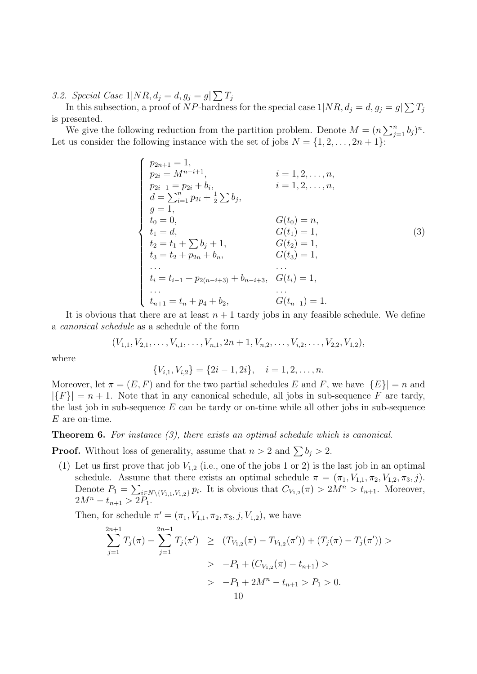3.2. Special Case  $1|NR, d_j = d, g_j = g\sum T_j$ 

In this subsection, a proof of NP-hardness for the special case  $1|NR, d_j = d, g_j = g(\sum T_j)$ is presented.

We give the following reduction from the partition problem. Denote  $M = (n \sum_{j=1}^n b_j)^n$ . Let us consider the following instance with the set of jobs  $N = \{1, 2, \ldots, 2n + 1\}$ :

$$
\begin{cases}\np_{2n+1} = 1, & i = 1, 2, ..., n, \\
p_{2i} = M^{n-i+1}, & i = 1, 2, ..., n, \\
p_{2i-1} = p_{2i} + b_i, & i = 1, 2, ..., n, \\
d = \sum_{i=1}^{n} p_{2i} + \frac{1}{2} \sum b_j, & G(t_0) = n, \\
t_0 = 0, & G(t_1) = 1, \\
t_1 = d, & G(t_1) = 1, \\
t_2 = t_1 + \sum b_j + 1, & G(t_2) = 1, \\
t_3 = t_2 + p_{2n} + b_n, & G(t_3) = 1, \\
\vdots & \vdots & \ddots & \vdots \\
t_i = t_{i-1} + p_{2(n-i+3)} + b_{n-i+3}, & G(t_i) = 1, \\
\vdots & \vdots & \vdots & \vdots \\
t_{n+1} = t_n + p_4 + b_2, & G(t_{n+1}) = 1.\n\end{cases}
$$
\n(3)

It is obvious that there are at least  $n + 1$  tardy jobs in any feasible schedule. We define a canonical schedule as a schedule of the form

$$
(V_{1,1}, V_{2,1}, \ldots, V_{i,1}, \ldots, V_{n,1}, 2n+1, V_{n,2}, \ldots, V_{i,2}, \ldots, V_{2,2}, V_{1,2}),
$$

where

$$
\{V_{i,1}, V_{i,2}\} = \{2i-1, 2i\}, \quad i = 1, 2, \dots, n.
$$

Moreover, let  $\pi = (E, F)$  and for the two partial schedules E and F, we have  $|\{E\}| = n$  and  $|\{F\}| = n + 1$ . Note that in any canonical schedule, all jobs in sub-sequence F are tardy, the last job in sub-sequence  $E$  can be tardy or on-time while all other jobs in sub-sequence  $E$  are on-time.

Theorem 6. For instance (3), there exists an optimal schedule which is canonical.

**Proof.** Without loss of generality, assume that  $n > 2$  and  $\sum b_i > 2$ .

(1) Let us first prove that job  $V_{1,2}$  (i.e., one of the jobs 1 or 2) is the last job in an optimal schedule. Assume that there exists an optimal schedule  $\pi = (\pi_1, V_{1,1}, \pi_2, V_{1,2}, \pi_3, j)$ . Denote  $P_1 = \sum_{i \in N \setminus \{V_{1,1}, V_{1,2}\}} p_i$ . It is obvious that  $C_{V_{1,2}}(\pi) > 2M^n > t_{n+1}$ . Moreover,  $2M^{n} - t_{n+1} > 2P_1.$ 

Then, for schedule  $\pi' = (\pi_1, V_{1,1}, \pi_2, \pi_3, j, V_{1,2})$ , we have

$$
\sum_{j=1}^{2n+1} T_j(\pi) - \sum_{j=1}^{2n+1} T_j(\pi') \ge (T_{V_{1,2}}(\pi) - T_{V_{1,2}}(\pi')) + (T_j(\pi) - T_j(\pi')) >
$$
  
>  $-P_1 + (C_{V_{1,2}}(\pi) - t_{n+1}) >$   
>  $-P_1 + 2M^n - t_{n+1} > P_1 > 0.$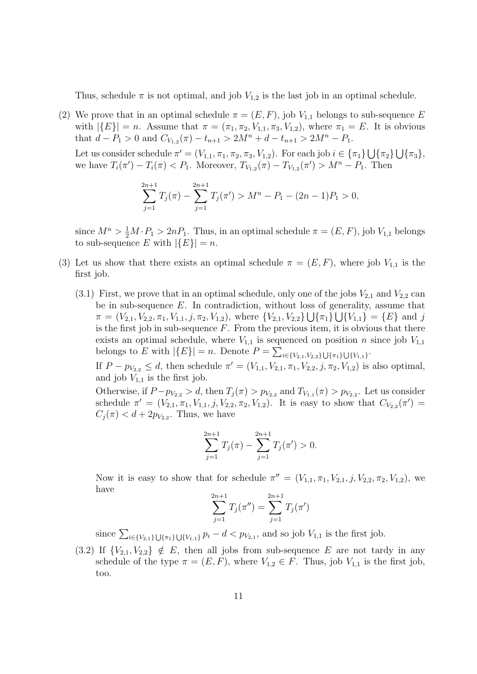Thus, schedule  $\pi$  is not optimal, and job  $V_{1,2}$  is the last job in an optimal schedule.

(2) We prove that in an optimal schedule  $\pi = (E, F)$ , job  $V_{1,1}$  belongs to sub-sequence E with  $|\{E\}| = n$ . Assume that  $\pi = (\pi_1, \pi_2, V_{1,1}, \pi_3, V_{1,2})$ , where  $\pi_1 = E$ . It is obvious that  $d - P_1 > 0$  and  $C_{V_{1,2}}(\pi) - t_{n+1} > 2M^n + d - t_{n+1} > 2M^n - P_1$ .

Let us consider schedule  $\pi' = (V_{1,1}, \pi_1, \pi_2, \pi_3, V_{1,2})$ . For each job  $i \in {\pi_1} \cup {\pi_2} \cup {\pi_3}$ , we have  $T_i(\pi') - T_i(\pi) < P_1$ . Moreover,  $T_{V_{1,2}}(\pi) - T_{V_{1,2}}(\pi') > M^n - P_1$ . Then

$$
\sum_{j=1}^{2n+1} T_j(\pi) - \sum_{j=1}^{2n+1} T_j(\pi') > M^n - P_1 - (2n-1)P_1 > 0,
$$

since  $M^n > \frac{1}{2}M \cdot P_1 > 2nP_1$ . Thus, in an optimal schedule  $\pi = (E, F)$ , job  $V_{1,1}$  belongs to sub-sequence E with  $|\{E\}| = n$ .

- (3) Let us show that there exists an optimal schedule  $\pi = (E, F)$ , where job  $V_{1,1}$  is the first job.
	- $(3.1)$  First, we prove that in an optimal schedule, only one of the jobs  $V_{2,1}$  and  $V_{2,2}$  can be in sub-sequence  $E$ . In contradiction, without loss of generality, assume that  $\pi = (V_{2,1}, V_{2,2}, \pi_1, V_{1,1}, j, \pi_2, V_{1,2}),$  where  $\{V_{2,1}, V_{2,2}\}\bigcup \{\pi_1\}\bigcup \{V_{1,1}\} = \{E\}$  and j is the first job in sub-sequence  $F$ . From the previous item, it is obvious that there exists an optimal schedule, where  $V_{1,1}$  is sequenced on position n since job  $V_{1,1}$ belongs to E with  $|\{E\}| = n$ . Denote  $P = \sum_{i \in \{V_{2,1}, V_{2,2}\}\cup \{\pi_1\}\cup \{V_{1,1}\}}$ .

If  $P - p_{V_{2,2}} \le d$ , then schedule  $\pi' = (V_{1,1}, V_{2,1}, \pi_1, V_{2,2}, j, \pi_2, V_{1,2})$  is also optimal, and job  $V_{1,1}$  is the first job.

Otherwise, if  $P - p_{V_{2,2}} > d$ , then  $T_j(\pi) > p_{V_{2,2}}$  and  $T_{V_{1,1}}(\pi) > p_{V_{2,2}}$ . Let us consider schedule  $\pi' = (V_{2,1}, \pi_1, V_{1,1}, j, V_{2,2}, \pi_2, V_{1,2})$ . It is easy to show that  $C_{V_{2,2}}(\pi') =$  $C_j(\pi) < d + 2p_{V_{2,2}}$ . Thus, we have

$$
\sum_{j=1}^{2n+1} T_j(\pi) - \sum_{j=1}^{2n+1} T_j(\pi') > 0.
$$

Now it is easy to show that for schedule  $\pi'' = (V_{1,1}, \pi_1, V_{2,1}, j, V_{2,2}, \pi_2, V_{1,2}),$  we have  $\ddot{\Omega}$ 

$$
\sum_{j=1}^{2n+1} T_j(\pi'') = \sum_{j=1}^{2n+1} T_j(\pi')
$$

since  $\sum_{i\in \{V_{2,1}\}\bigcup \{\pi_1\}\bigcup \{V_{1,1}\}} p_i - d < p_{V_{2,1}}$ , and so job  $V_{1,1}$  is the first job.

(3.2) If  ${V_{2,1}, V_{2,2}} \notin E$ , then all jobs from sub-sequence E are not tardy in any schedule of the type  $\pi = (E, F)$ , where  $V_{1,2} \in F$ . Thus, job  $V_{1,1}$  is the first job, too.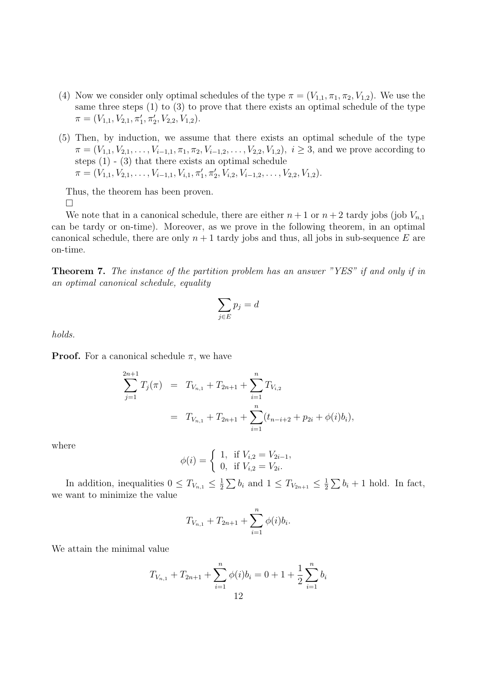- (4) Now we consider only optimal schedules of the type  $\pi = (V_{1,1}, \pi_1, \pi_2, V_{1,2})$ . We use the same three steps (1) to (3) to prove that there exists an optimal schedule of the type  $\pi = (V_{1,1}, V_{2,1}, \pi'_1, \pi'_2, V_{2,2}, V_{1,2}).$
- (5) Then, by induction, we assume that there exists an optimal schedule of the type  $\pi = (V_{1,1}, V_{2,1}, \ldots, V_{i-1,1}, \pi_1, \pi_2, V_{i-1,2}, \ldots, V_{2,2}, V_{1,2}), i \geq 3$ , and we prove according to steps  $(1)$  -  $(3)$  that there exists an optimal schedule  $\pi = (V_{1,1}, V_{2,1}, \ldots, V_{i-1,1}, V_{i,1}, \pi'_1, \pi'_2, V_{i,2}, V_{i-1,2}, \ldots, V_{2,2}, V_{1,2}).$

Thus, the theorem has been proven.  $\Box$ 

We note that in a canonical schedule, there are either  $n+1$  or  $n+2$  tardy jobs (job  $V_{n,1}$ ) can be tardy or on-time). Moreover, as we prove in the following theorem, in an optimal canonical schedule, there are only  $n + 1$  tardy jobs and thus, all jobs in sub-sequence E are on-time.

Theorem 7. The instance of the partition problem has an answer "YES" if and only if in an optimal canonical schedule, equality

$$
\sum_{j \in E} p_j = d
$$

holds.

**Proof.** For a canonical schedule  $\pi$ , we have

$$
\sum_{j=1}^{2n+1} T_j(\pi) = T_{V_{n,1}} + T_{2n+1} + \sum_{i=1}^n T_{V_{i,2}}
$$
  
=  $T_{V_{n,1}} + T_{2n+1} + \sum_{i=1}^n (t_{n-i+2} + p_{2i} + \phi(i)b_i),$ 

where

$$
\phi(i) = \begin{cases} 1, & \text{if } V_{i,2} = V_{2i-1}, \\ 0, & \text{if } V_{i,2} = V_{2i}. \end{cases}
$$

In addition, inequalities  $0 \leq T_{V_{n,1}} \leq \frac{1}{2}$  $\frac{1}{2} \sum b_i$  and  $1 \le T_{V_{2n+1}} \le \frac{1}{2}$  $\frac{1}{2}\sum b_i + 1$  hold. In fact, we want to minimize the value

$$
T_{V_{n,1}} + T_{2n+1} + \sum_{i=1}^{n} \phi(i)b_i.
$$

We attain the minimal value

$$
T_{V_{n,1}} + T_{2n+1} + \sum_{i=1}^{n} \phi(i)b_i = 0 + 1 + \frac{1}{2} \sum_{i=1}^{n} b_i
$$
  
12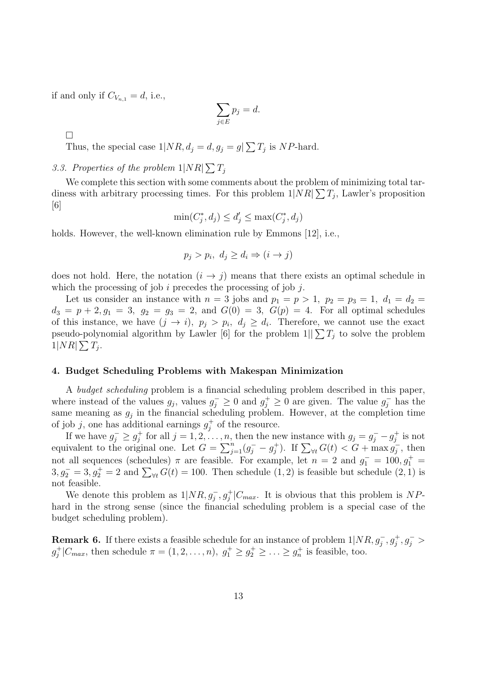if and only if  $C_{V_{n,1}} = d$ , i.e.,

$$
\sum_{j \in E} p_j = d.
$$

 $\Box$ 

Thus, the special case  $1/NR$ ,  $d_j = d$ ,  $g_j = g\sum T_j$  is NP-hard.

3.3. Properties of the problem  $1|NR| \sum T_j$ 

We complete this section with some comments about the problem of minimizing total tardiness with arbitrary processing times. For this problem  $1|NR| \sum T_j$ , Lawler's proposition  $|6|$ 

$$
\min(C_j^*, d_j) \le d_j' \le \max(C_j^*, d_j)
$$

holds. However, the well-known elimination rule by Emmons [12], i.e.,

$$
p_j > p_i, \ d_j \ge d_i \Rightarrow (i \to j)
$$

does not hold. Here, the notation  $(i \rightarrow j)$  means that there exists an optimal schedule in which the processing of job  $i$  precedes the processing of job  $j$ .

Let us consider an instance with  $n = 3$  jobs and  $p_1 = p > 1$ ,  $p_2 = p_3 = 1$ ,  $d_1 = d_2$  $d_3 = p + 2, g_1 = 3, g_2 = g_3 = 2, \text{ and } G(0) = 3, G(p) = 4. \text{ For all optimal schedules}$ of this instance, we have  $(j \to i)$ ,  $p_j > p_i$ ,  $d_j \geq d_i$ . Therefore, we cannot use the exact pseudo-polynomial algorithm by Lawler [6] for the problem  $1||\sum T_i$  to solve the problem  $1|NR| \sum T_j$ .

### 4. Budget Scheduling Problems with Makespan Minimization

A budget scheduling problem is a financial scheduling problem described in this paper, where instead of the values  $g_j$ , values  $g_j^- \geq 0$  and  $g_j^+ \geq 0$  are given. The value  $g_j^-$  has the same meaning as  $g_j$  in the financial scheduling problem. However, at the completion time of job j, one has additional earnings  $g_i^+$  $j^+$  of the resource.

If we have  $g_j^- \geq g_j^+$ <sup>+</sup> for all  $j = 1, 2, \ldots, n$ , then the new instance with  $g_j = g_j^- - g_j^+$  $y_j^+$  is not equivalent to the original one. Let  $G = \sum_{j=1}^{n} (g_j^- - g_j^+)$  $(j^+)_j$ . If  $\sum_{\forall t} G(t) < G + \max_{j=1}^{\infty} g_j$  $\bar{j}$ , then not all sequences (schedules)  $\pi$  are feasible. For example, let  $n = 2$  and  $g_1^- = 100, g_1^+ =$  $3, g_2^- = 3, g_2^+ = 2$  and  $\sum_{\forall t} G(t) = 100$ . Then schedule  $(1, 2)$  is feasible but schedule  $(2, 1)$  is not feasible.

We denote this problem as  $1|NR, g_j, g_j^+|C_{max}$ . It is obvious that this problem is NPhard in the strong sense (since the financial scheduling problem is a special case of the budget scheduling problem).

**Remark 6.** If there exists a feasible schedule for an instance of problem  $1|NR, g_j, g_j^+, g_j^->$  $g_i^+$  $j^+|C_{max}$ , then schedule  $\pi = (1, 2, \ldots, n)$ ,  $g_1^+ \geq g_2^+ \geq \ldots \geq g_n^+$  is feasible, too.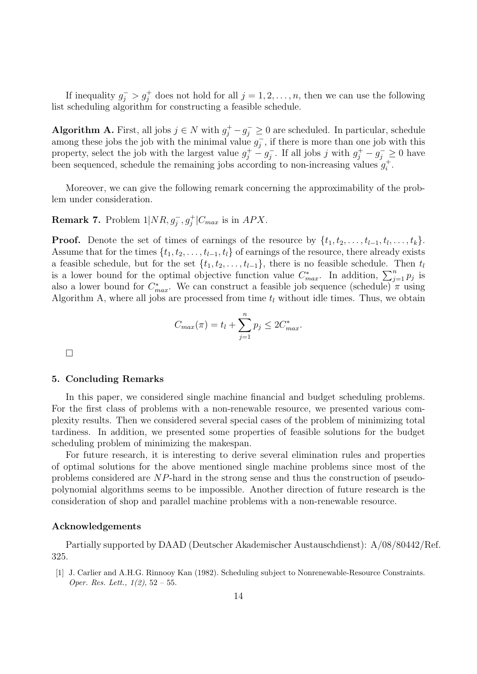If inequality  $g_j^->g_j^+$  does not hold for all  $j=1,2,\ldots,n$ , then we can use the following list scheduling algorithm for constructing a feasible schedule.

Algorithm A. First, all jobs  $j \in N$  with  $g_j^+ - g_j^- \geq 0$  are scheduled. In particular, schedule among these jobs the job with the minimal value  $g_i^ \bar{j}$ , if there is more than one job with this property, select the job with the largest value  $g_j^+ - g_j^$  $j_j^-$ . If all jobs j with  $g_j^+ - g_j^- \geq 0$  have been sequenced, schedule the remaining jobs according to non-increasing values  $g_i^+$  $i^+$ .

Moreover, we can give the following remark concerning the approximability of the problem under consideration.

**Remark 7.** Problem  $1|NR, g_j, g_j^+|C_{max}$  is in  $APX$ .

**Proof.** Denote the set of times of earnings of the resource by  $\{t_1, t_2, \ldots, t_{l-1}, t_l, \ldots, t_k\}$ . Assume that for the times  $\{t_1, t_2, \ldots, t_{l-1}, t_l\}$  of earnings of the resource, there already exists a feasible schedule, but for the set  $\{t_1, t_2, \ldots, t_{l-1}\}$ , there is no feasible schedule. Then  $t_l$ is a lower bound for the optimal objective function value  $C_{max}^*$ . In addition,  $\sum_{j=1}^n p_j$  is also a lower bound for  $C_{max}^*$ . We can construct a feasible job sequence (schedule)  $\pi$  using Algorithm A, where all jobs are processed from time  $t_l$  without idle times. Thus, we obtain

$$
C_{max}(\pi) = t_l + \sum_{j=1}^{n} p_j \le 2C_{max}^*.
$$

 $\Box$ 

#### 5. Concluding Remarks

In this paper, we considered single machine financial and budget scheduling problems. For the first class of problems with a non-renewable resource, we presented various complexity results. Then we considered several special cases of the problem of minimizing total tardiness. In addition, we presented some properties of feasible solutions for the budget scheduling problem of minimizing the makespan.

For future research, it is interesting to derive several elimination rules and properties of optimal solutions for the above mentioned single machine problems since most of the problems considered are NP-hard in the strong sense and thus the construction of pseudopolynomial algorithms seems to be impossible. Another direction of future research is the consideration of shop and parallel machine problems with a non-renewable resource.

#### Acknowledgements

Partially supported by DAAD (Deutscher Akademischer Austauschdienst): A/08/80442/Ref. 325.

[1] J. Carlier and A.H.G. Rinnooy Kan (1982). Scheduling subject to Nonrenewable-Resource Constraints. Oper. Res. Lett.,  $1(2)$ ,  $52 - 55$ .